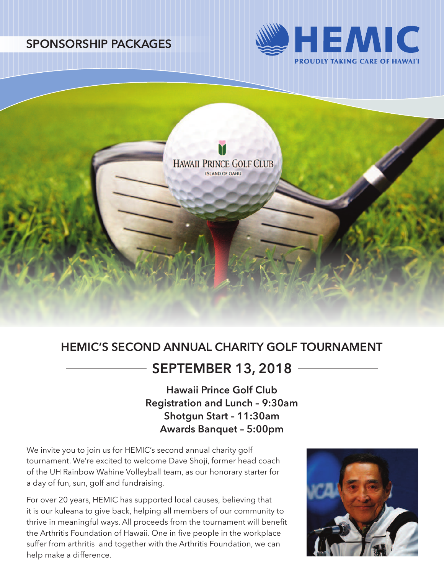



# **HEMIC'S SECOND ANNUAL CHARITY GOLF TOURNAMENT**

## **SEPTEMBER 13, 2018**

**Hawaii Prince Golf Club Registration and Lunch – 9:30am Shotgun Start – 11:30am Awards Banquet – 5:00pm**

We invite you to join us for HEMIC's second annual charity golf tournament. We're excited to welcome Dave Shoji, former head coach of the UH Rainbow Wahine Volleyball team, as our honorary starter for a day of fun, sun, golf and fundraising.

For over 20 years, HEMIC has supported local causes, believing that it is our kuleana to give back, helping all members of our community to thrive in meaningful ways. All proceeds from the tournament will benefit the Arthritis Foundation of Hawaii. One in five people in the workplace suffer from arthritis and together with the Arthritis Foundation, we can help make a difference.

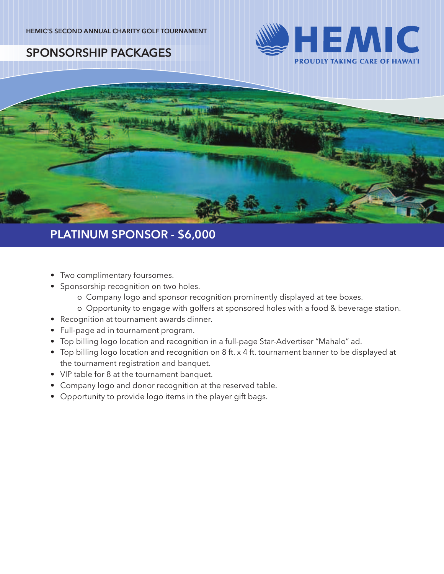



## **PLATINUM SPONSOR - \$6,000**

- Two complimentary foursomes.
- Sponsorship recognition on two holes.
	- o Company logo and sponsor recognition prominently displayed at tee boxes.
	- o Opportunity to engage with golfers at sponsored holes with a food & beverage station.
- Recognition at tournament awards dinner.
- Full-page ad in tournament program.
- Top billing logo location and recognition in a full-page Star-Advertiser "Mahalo" ad.
- Top billing logo location and recognition on 8 ft. x 4 ft. tournament banner to be displayed at the tournament registration and banquet.
- VIP table for 8 at the tournament banquet.
- Company logo and donor recognition at the reserved table.
- Opportunity to provide logo items in the player gift bags.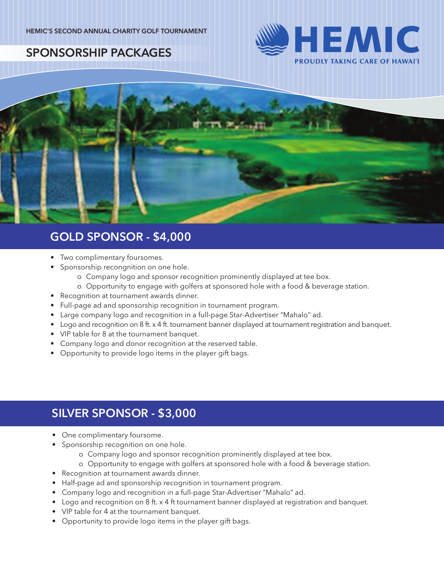



## **GOLD SPONSOR - \$4,000**

- Two complimentary foursomes.
- Sponsorship recongnition on one hole.
	- o Company logo and sponsor recognition prominently displayed at tee box.
	- o Opportunity to engage with golfers at sponsored hole with a food & beverage station.
- Recognition at tournament awards dinner.
- Full-page ad and sponsorship recognition in tournament program.
- Large company logo and recognition in a full-page Star-Advertiser "Mahalo" ad.
- Logo and recognition on 8 ft. x 4 ft. tournament banner displayed at tournament registration and banquet.
- VIP table for 8 at the tournament banquet.
- Company logo and donor recognition at the reserved table.
- Opportunity to provide logo items in the player gift bags.

## **SILVER SPONSOR - \$3,000**

- One complimentary foursome.
- Sponsorship recognition on one hole.
	- o Company logo and sponsor recognition prominently displayed at tee box.
	- o Opportunity to engage with golfers at sponsored hole with a food & beverage station.
- Recognition at tournament awards dinner.
- Half-page ad and sponsorship recognition in tournament program.
- Company logo and recognition in a full-page Star-Advertiser "Mahalo" ad.
- Logo and recognition on 8 ft. x 4 ft tournament banner displayed at registration and banquet.
- VIP table for 4 at the tournament banquet.
- Opportunity to provide logo items in the player gift bags.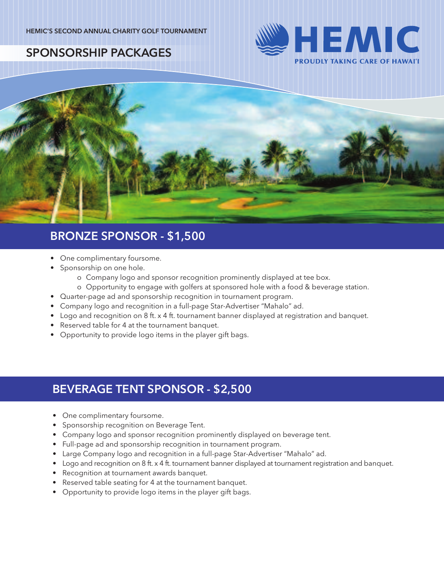



## **BRONZE SPONSOR - \$1,500**

- One complimentary foursome.
- Sponsorship on one hole.
	- o Company logo and sponsor recognition prominently displayed at tee box.
	- o Opportunity to engage with golfers at sponsored hole with a food & beverage station.
- Quarter-page ad and sponsorship recognition in tournament program.
- Company logo and recognition in a full-page Star-Advertiser "Mahalo" ad.
- Logo and recognition on 8 ft. x 4 ft. tournament banner displayed at registration and banquet.
- Reserved table for 4 at the tournament banquet.
- Opportunity to provide logo items in the player gift bags.

## **BEVERAGE TENT SPONSOR - \$2,500**

- One complimentary foursome.
- Sponsorship recognition on Beverage Tent.
- Company logo and sponsor recognition prominently displayed on beverage tent.
- Full-page ad and sponsorship recognition in tournament program.
- Large Company logo and recognition in a full-page Star-Advertiser "Mahalo" ad.
- Logo and recognition on 8 ft. x 4 ft. tournament banner displayed at tournament registration and banquet.
- Recognition at tournament awards banquet.
- Reserved table seating for 4 at the tournament banquet.
- Opportunity to provide logo items in the player gift bags.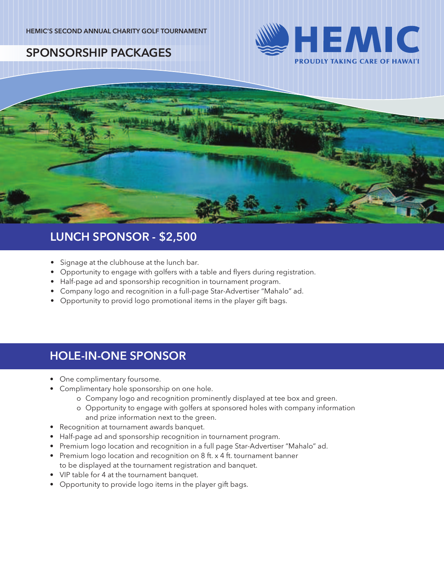



## **LUNCH SPONSOR - \$2,500**

- Signage at the clubhouse at the lunch bar.
- Opportunity to engage with golfers with a table and flyers during registration.
- Half-page ad and sponsorship recognition in tournament program.
- Company logo and recognition in a full-page Star-Advertiser "Mahalo" ad.
- Opportunity to provid logo promotional items in the player gift bags.

## **HOLE-IN-ONE SPONSOR**

- One complimentary foursome.
- Complimentary hole sponsorship on one hole.
	- o Company logo and recognition prominently displayed at tee box and green.
	- o Opportunity to engage with golfers at sponsored holes with company information and prize information next to the green.
- Recognition at tournament awards banquet.
- Half-page ad and sponsorship recognition in tournament program.
- Premium logo location and recognition in a full page Star-Advertiser "Mahalo" ad.
- Premium logo location and recognition on 8 ft. x 4 ft. tournament banner to be displayed at the tournament registration and banquet.
- VIP table for 4 at the tournament banquet.
- Opportunity to provide logo items in the player gift bags.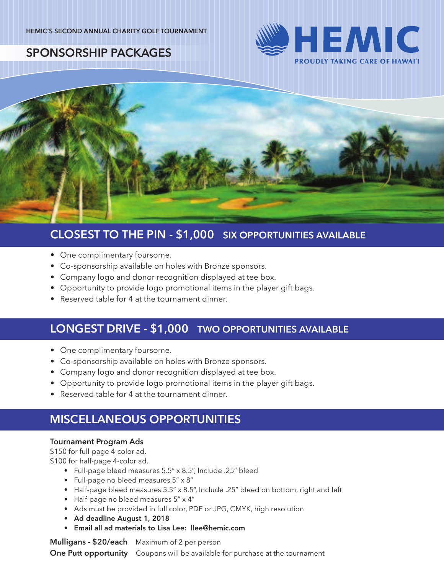



#### **CLOSEST TO THE PIN - \$1,000 SIX OPPORTUNITIES AVAILABLE**

- One complimentary foursome.
- Co-sponsorship available on holes with Bronze sponsors.
- Company logo and donor recognition displayed at tee box.
- Opportunity to provide logo promotional items in the player gift bags.
- Reserved table for 4 at the tournament dinner.

#### **LONGEST DRIVE - \$1,000 TWO OPPORTUNITIES AVAILABLE**

- One complimentary foursome.
- Co-sponsorship available on holes with Bronze sponsors.
- Company logo and donor recognition displayed at tee box.
- Opportunity to provide logo promotional items in the player gift bags.
- Reserved table for 4 at the tournament dinner.

## **MISCELLANEOUS OPPORTUNITIES**

#### **Tournament Program Ads**

\$150 for full-page 4-color ad.

\$100 for half-page 4-color ad.

- Full-page bleed measures 5.5" x 8.5", Include .25" bleed
- Full-page no bleed measures 5" x 8"
- Half-page bleed measures 5.5" x 8.5", Include .25" bleed on bottom, right and left
- Half-page no bleed measures 5" x 4"
- Ads must be provided in full color, PDF or JPG, CMYK, high resolution
- Ad deadline August 1, 2018
- Email all ad materials to Lisa Lee: llee@hemic.com

**Mulligans - \$20/each** Maximum of 2 per person

**One Putt opportunity** Coupons will be available for purchase at the tournament